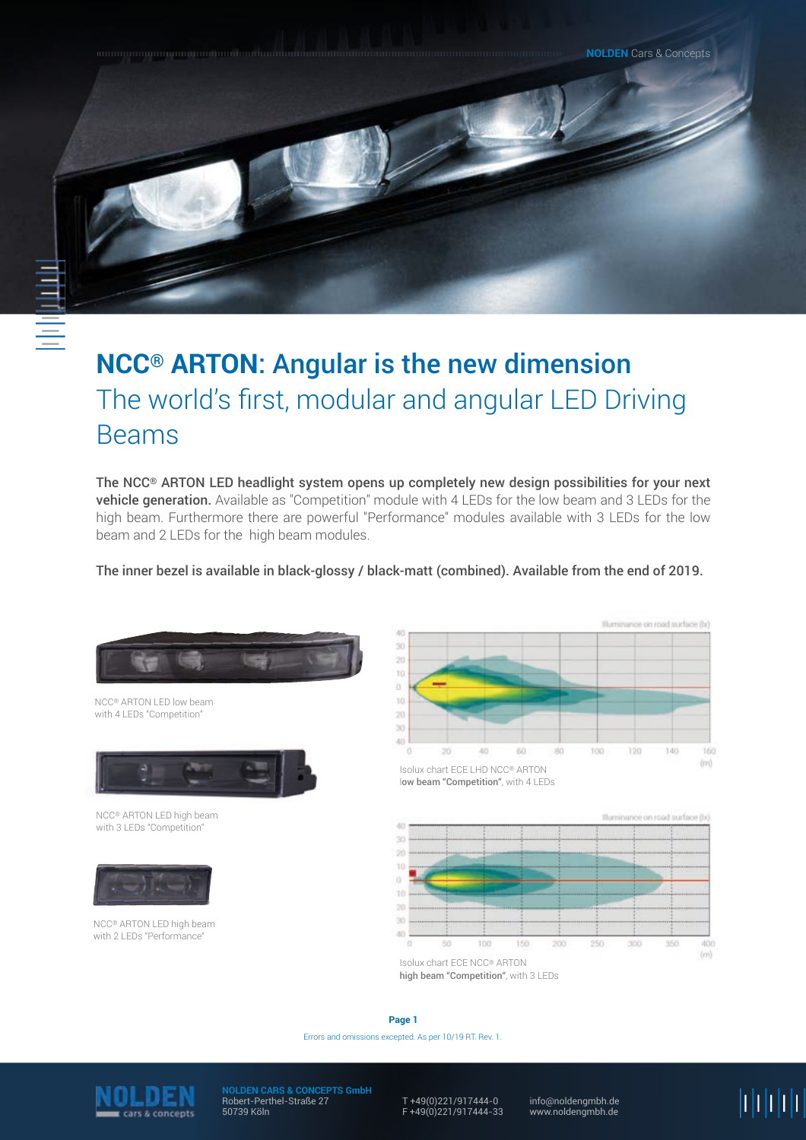**NOLDEN** Cars & Concepts

# **NCC® ARTON**: Angular is the new dimension The world's first, modular and angular LED Driving Beams

The NCC® ARTON LED headlight system opens up completely new design possibilities for your next vehicle generation. Available as "Competition" module with 4 LEDs for the low beam and 3 LEDs for the high beam. Furthermore there are powerful "Performance" modules available with 3 LEDs for the low beam and 2 LEDs for the high beam modules.

The inner bezel is available in black-glossy / black-matt (combined). Available from the end of 2019.



NCC® ARTON LED low beam with 4 LEDs "Competition"



NCC® ARTON LED high beam with 3 LEDs "Competition"



NCC® ARTON LED high beam with 2 LEDs "Performance"



Isolux chart ECE LHD NCC® ARTON low beam "Competition", with 4 LEDs



Isolux chart ECE NCC® ARTON high beam "Competition", with 3 LEDs

Errors and omissions excepted. As per 10/19 RT. Rev. 1. **Page 1**



**NOLDEN CARS & CONCEPTS GmbH** Robert-Perthel-Straße 27 50739 Köln

T +49(0)221/917444-0 F +49(0)221/917444-33

info@noldengmbh.de www.noldengmbh.de